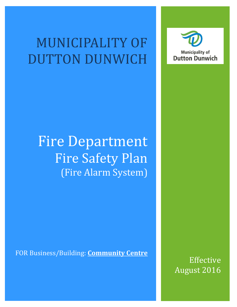# MUNICIPALITY OF DUTTON DUNWICH



# Fire Department Fire Safety Plan (Fire Alarm System)

FOR Business/Building: **Community Centre**

Effective August 2016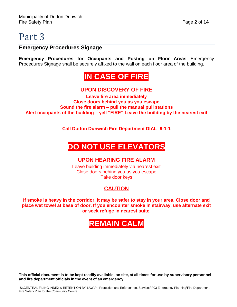#### **Emergency Procedures Signage**

**Emergency Procedures for Occupants and Posting on Floor Areas** Emergency Procedures Signage shall be securely affixed to the wall on each floor area of the building.

## **IN CASE OF FIRE**

#### **UPON DISCOVERY OF FIRE**

**Leave fire area immediately Close doors behind you as you escape Sound the fire alarm – pull the manual pull stations Alert occupants of the building – yell "FIRE" Leave the building by the nearest exit**

**Call Dutton Dunwich Fire Department DIAL 9-1-1**

## **DO NOT USE ELEVATORS**

#### **UPON HEARING FIRE ALARM**

Leave building immediately via nearest exit Close doors behind you as you escape Take door keys

#### **CAUTION**

**If smoke is heavy in the corridor, it may be safer to stay in your area. Close door and place wet towel at base of door. If you encounter smoke in stairway, use alternate exit or seek refuge in nearest suite.**

# **REMAIN CALM**

This official document is to be kept readily available, on site, at all times for use by supervisory personnel **and fire department officials in the event of an emergency.**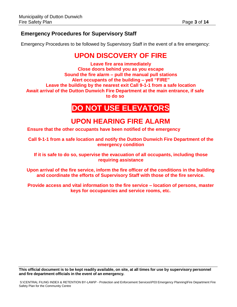#### **Emergency Procedures for Supervisory Staff**

Emergency Procedures to be followed by Supervisory Staff in the event of a fire emergency:

### **UPON DISCOVERY OF FIRE**

**Leave fire area immediately Close doors behind you as you escape Sound the fire alarm – pull the manual pull stations Alert occupants of the building – yell "FIRE" Leave the building by the nearest exit Call 9-1-1 from a safe location Await arrival of the Dutton Dunwich Fire Department at the main entrance, if safe to do so**

### **DO NOT USE ELEVATORS**

### **UPON HEARING FIRE ALARM**

**Ensure that the other occupants have been notified of the emergency**

**Call 9-1-1 from a safe location and notify the Dutton Dunwich Fire Department of the emergency condition**

**If it is safe to do so, supervise the evacuation of all occupants, including those requiring assistance**

**Upon arrival of the fire service, inform the fire officer of the conditions in the building and coordinate the efforts of Supervisory Staff with those of the fire service.**

**Provide access and vital information to the fire service – location of persons, master keys for occupancies and service rooms, etc.**

This official document is to be kept readily available, on site, at all times for use by supervisory personnel **and fire department officials in the event of an emergency.**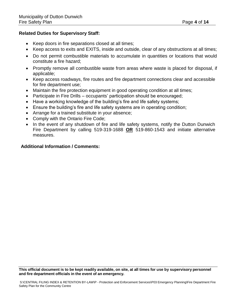#### **Related Duties for Supervisory Staff:**

- Keep doors in fire separations closed at all times;
- Keep access to exits and EXITS, inside and outside, clear of any obstructions at all times;
- Do not permit combustible materials to accumulate in quantities or locations that would constitute a fire hazard;
- Promptly remove all combustible waste from areas where waste is placed for disposal, if applicable;
- Keep access roadways, fire routes and fire department connections clear and accessible for fire department use;
- Maintain the fire protection equipment in good operating condition at all times;
- Participate in Fire Drills occupants' participation should be encouraged;
- Have a working knowledge of the building's fire and life safety systems;
- Ensure the building's fire and life safety systems are in operating condition;
- Arrange for a trained substitute in your absence;
- Comply with the Ontario Fire Code;
- In the event of any shutdown of fire and life safety systems, notify the Dutton Dunwich Fire Department by calling 519-319-1688 **OR** 519-860-1543 and initiate alternative measures.

#### **Additional Information / Comments:**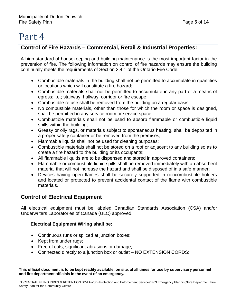#### **Control of Fire Hazards – Commercial, Retail & Industrial Properties:**

A high standard of housekeeping and building maintenance is the most important factor in the prevention of fire. The following information on control of fire hazards may ensure the building continually meets the requirements of Section 2.4.1 of the Ontario Fire Code.

- Combustible materials in the building shall not be permitted to accumulate in quantities or locations which will constitute a fire hazard;
- Combustible materials shall not be permitted to accumulate in any part of a means of egress; i.e.; stairway, hallway, corridor or fire escape;
- Combustible refuse shall be removed from the building on a regular basis;
- No combustible materials, other than those for which the room or space is designed, shall be permitted in any service room or service space;
- Combustible materials shall not be used to absorb flammable or combustible liquid spills within the building;
- Greasy or oily rags, or materials subject to spontaneous heating, shall be deposited in a proper safety container or be removed from the premises;
- Flammable liquids shall not be used for cleaning purposes;
- Combustible materials shall not be stored on a roof or adjacent to any building so as to create a fire hazard to the building or its occupants;
- All flammable liquids are to be dispensed and stored in approved containers;
- Flammable or combustible liquid spills shall be removed immediately with an absorbent material that will not increase the hazard and shall be disposed of in a safe manner;
- Devices having open flames shall be securely supported in noncombustible holders and located or protected to prevent accidental contact of the flame with combustible materials.

#### **Control of Electrical Equipment**

All electrical equipment must be labeled Canadian Standards Association (CSA) and/or Underwriters Laboratories of Canada (ULC) approved.

#### **Electrical Equipment Wiring shall be:**

- Continuous runs or spliced at junction boxes;
- Kept from under rugs;
- Free of cuts, significant abrasions or damage;
- Connected directly to a junction box or outlet NO EXTENSION CORDS;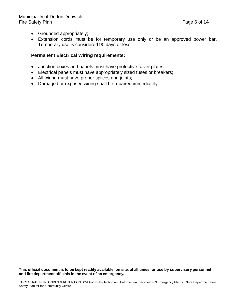- Grounded appropriately;
- Extension cords must be for temporary use only or be an approved power bar. Temporary use is considered 90 days or less.

#### **Permanent Electrical Wiring requirements:**

- Junction boxes and panels must have protective cover plates;
- Electrical panels must have appropriately sized fuses or breakers;
- All wiring must have proper splices and joints;
- Damaged or exposed wiring shall be repaired immediately.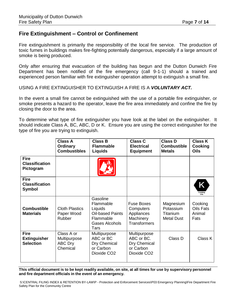#### **Fire Extinguishment – Control or Confinement**

Fire extinguishment is primarily the responsibility of the local fire service. The production of toxic fumes in buildings makes fire-fighting potentially dangerous, especially if a large amount of smoke is being produced.

Only after ensuring that evacuation of the building has begun and the Dutton Dunwich Fire Department has been notified of the fire emergency (call 9-1-1) should a trained and experienced person familiar with fire extinguisher operation attempt to extinguish a small fire.

USING A FIRE EXTINGUISHER TO EXTINGUISH A FIRE IS A *VOLUNTARY ACT.*

In the event a small fire cannot be extinguished with the use of a portable fire extinguisher, or smoke presents a hazard to the operator, leave the fire area immediately and confine the fire by closing the door to the area.

To determine what type of fire extinguisher you have look at the label on the extinguisher. It should indicate Class A, BC, ABC, D or K. Ensure you are using the correct extinguisher for the type of fire you are trying to extinguish.

|                                                        | <b>Class A</b><br>Ordinary<br><b>Combustibles</b>        | <b>Class B</b><br><b>Flammable</b><br><b>Liquids</b>                                               | <b>Class C</b><br><b>Electrical</b><br><b>Equipment</b>                            | <b>Class D</b><br><b>Combustible</b><br><b>Metals</b>   | <b>Class K</b><br>Cooking<br><b>Oils</b>      |
|--------------------------------------------------------|----------------------------------------------------------|----------------------------------------------------------------------------------------------------|------------------------------------------------------------------------------------|---------------------------------------------------------|-----------------------------------------------|
| <b>Fire</b><br><b>Classification</b><br>Pictogram      |                                                          |                                                                                                    |                                                                                    |                                                         |                                               |
| <b>Fire</b><br><b>Classification</b><br><b>Symbol</b>  |                                                          |                                                                                                    |                                                                                    |                                                         | Κ<br>Cooking<br>Oils                          |
| <b>Combustible</b><br><b>Materials</b>                 | <b>Cloth Plastics</b><br>Paper Wood<br>Rubber            | Gasoline<br>Flammable<br>Liquids<br><b>Oil-based Paints</b><br>Flammable<br>Gases Alcohols<br>Tars | <b>Fuse Boxes</b><br>Computers<br>Appliances<br>Machinery<br><b>Transformers</b>   | Magnesium<br>Potassium<br>Titanium<br><b>Metal Dust</b> | Cooking<br><b>Oils Fats</b><br>Animal<br>Fats |
| <b>Fire</b><br><b>Extinguisher</b><br><b>Selection</b> | Class A or<br>Multipurpose<br><b>ABC Dry</b><br>Chemical | Multipurpose<br>ABC or BC<br>Dry Chemical<br>or Carbon<br>Dioxide CO <sub>2</sub>                  | Multipurpose<br>ABC or BC.<br>Dry Chemical<br>or Carbon<br>Dioxide CO <sub>2</sub> | Class D                                                 | Class K                                       |

This official document is to be kept readily available, on site, at all times for use by supervisory personnel **and fire department officials in the event of an emergency.**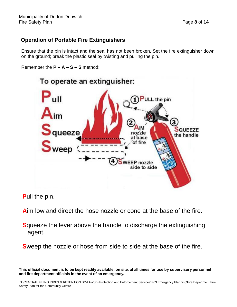#### **Operation of Portable Fire Extinguishers**

Ensure that the pin is intact and the seal has not been broken. Set the fire extinguisher down on the ground; break the plastic seal by twisting and pulling the pin.

Remember the **P – A – S – S** method:



**P**ull the pin.

**A**im low and direct the hose nozzle or cone at the base of the fire.

**S**queeze the lever above the handle to discharge the extinguishing agent.

**S**weep the nozzle or hose from side to side at the base of the fire.

This official document is to be kept readily available, on site, at all times for use by supervisory personnel **and fire department officials in the event of an emergency.**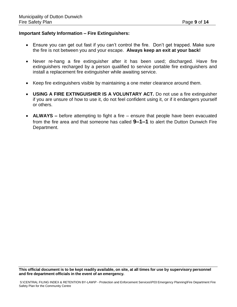#### **Important Safety Information – Fire Extinguishers:**

- Ensure you can get out fast if you can't control the fire. Don't get trapped. Make sure the fire is not between you and your escape. **Always keep an exit at your back!**
- Never re-hang a fire extinguisher after it has been used; discharged. Have fire extinguishers recharged by a person qualified to service portable fire extinguishers and install a replacement fire extinguisher while awaiting service.
- Keep fire extinguishers visible by maintaining a one meter clearance around them.
- **USING A FIRE EXTINGUISHER IS A VOLUNTARY ACT.** Do not use a fire extinguisher if you are unsure of how to use it, do not feel confident using it, or if it endangers yourself or others.
- **ALWAYS –** before attempting to fight a fire ensure that people have been evacuated from the fire area and that someone has called **9–1–1** to alert the Dutton Dunwich Fire Department.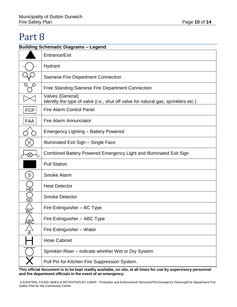#### **Building Schematic Diagrams – Legend**

|                 | Entrance/Exit                                                                                          |
|-----------------|--------------------------------------------------------------------------------------------------------|
|                 | Hydrant                                                                                                |
|                 | <b>Siamese Fire Department Connection</b>                                                              |
|                 | <b>Free Standing Siamese Fire Department Connection</b>                                                |
|                 | Valves (General)<br>Identify the type of valve (i.e., shut off valve for natural gas, sprinklers etc.) |
| <b>FCP</b>      | <b>Fire Alarm Control Panel</b>                                                                        |
| <b>FAA</b>      | <b>Fire Alarm Annunciator</b>                                                                          |
|                 | <b>Emergency Lighting - Battery Powered</b>                                                            |
|                 | Illuminated Exit Sign - Single Face                                                                    |
| $\boxtimes$     | Combined Battery Powered Emergency Light and Illuminated Exit Sign                                     |
|                 | <b>Pull Station</b>                                                                                    |
| S               | <b>Smoke Alarm</b>                                                                                     |
| <u>HD</u>       | <b>Heat Detector</b>                                                                                   |
| SD              | <b>Smoke Detector</b>                                                                                  |
| $\overline{BC}$ | Fire Extinguisher - BC Type                                                                            |
| Β               | Fire Extinguisher - ABC Type                                                                           |
|                 | Fire Extinguisher - Water                                                                              |
|                 | <b>Hose Cabinet</b>                                                                                    |
|                 | Sprinkler Riser – indicate whether Wet or Dry System                                                   |
|                 | Pull Pin for Kitchen Fire Suppression System.                                                          |

This official document is to be kept readily available, on site, at all times for use by supervisory personnel **and fire department officials in the event of an emergency.**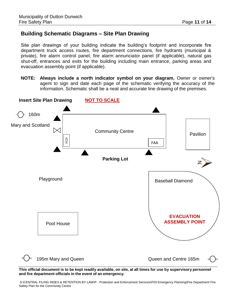#### **Building Schematic Diagrams – Site Plan Drawing**

Site plan drawings of your building indicate the building's footprint and incorporate fire department truck access routes, fire department connections, fire hydrants (municipal & private), fire alarm control panel, fire alarm annunciator panel (if applicable), natural gas shut-off, entrances and exits for the building including main entrance, parking areas and evacuation assembly point (if applicable).

**NOTE: Always include a north indicator symbol on your diagram.** Owner or owner's agent to sign and date each page of the schematic verifying the accuracy of the information. Schematic shall be a neat and accurate line drawing of the premises.



This official document is to be kept readily available, on site, at all times for use by supervisory personnel **and fire department officials in the event of an emergency.**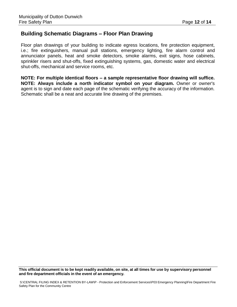#### **Building Schematic Diagrams – Floor Plan Drawing**

Floor plan drawings of your building to indicate egress locations, fire protection equipment, i.e.; fire extinguishers, manual pull stations, emergency lighting, fire alarm control and annunciator panels, heat and smoke detectors, smoke alarms, exit signs, hose cabinets, sprinkler risers and shut-offs, fixed extinguishing systems, gas, domestic water and electrical shut-offs, mechanical and service rooms, etc.

**NOTE: For multiple identical floors – a sample representative floor drawing will suffice. NOTE: Always include a north indicator symbol on your diagram.** Owner or owner's agent is to sign and date each page of the schematic verifying the accuracy of the information. Schematic shall be a neat and accurate line drawing of the premises.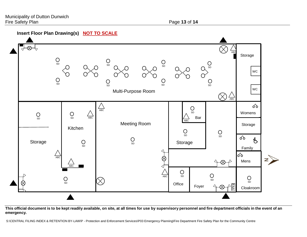#### **Insert Floor Plan Drawing(s) NOT TO SCALE**



This official document is to be kept readily available, on site, at all times for use by supervisory personnel and fire department officials in the event of an **emergency.**